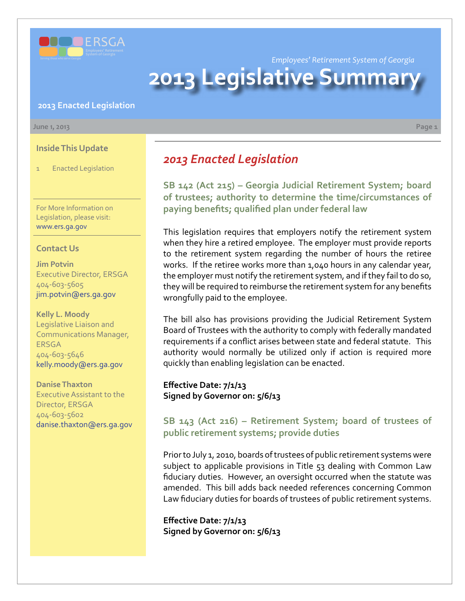

*Employees' Retirement System of Georgia*

# **2013 Legislative Summar**

#### **2013 Enacted Legislation**

#### **June 1, 2013 Page 1**

**Inside This Update**

1 Enacted Legislation

For More Information on Legislation, please visit: www.ers.ga.gov

#### **Contact Us**

**Jim Potvin** Executive Director, ERSGA 404-603-5605 jim.potvin@ers.ga.gov

**Kelly L. Moody** Legislative Liaison and Communications Manager, ERSGA 404-603-5646 kelly.moody@ers.ga.gov

**Danise Thaxton** Executive Assistant to the Director, ERSGA 404-603-5602 danise.thaxton@ers.ga.gov *2013 Enacted Legislation*

**SB [142 \(Act 215\) –](http://www.legis.ga.gov/legislation/en-US/Display/20132014/SB/142) Georgia Judicial Retirement System; board of trustees; authority to determine the time/circumstances of paying benefits; qualified plan under federal law**

This legislation requires that employers notify the retirement system when they hire a retired employee. The employer must provide reports to the retirement system regarding the number of hours the retiree works. If the retiree works more than 1,040 hours in any calendar year, the employer must notify the retirement system, and if they fail to do so, they will be required to reimburse the retirement system for any benefits wrongfully paid to the employee.

The bill also has provisions providing the Judicial Retirement System Board of Trustees with the authority to comply with federally mandated requirements if a conflict arises between state and federal statute. This authority would normally be utilized only if action is required more quickly than enabling legislation can be enacted.

**Effective Date: 7/1/13 Signed by Governor on: 5/6/13**

### **SB [143 \(Act 216\) –](http://www.legis.ga.gov/legislation/en-US/Display/20132014/SB/143) Retirement System; board of trustees of public retirement systems; provide duties**

Prior to July 1, 2010, boards of trustees of public retirement systems were subject to applicable provisions in Title 53 dealing with Common Law fiduciary duties. However, an oversight occurred when the statute was amended. This bill adds back needed references concerning Common Law fiduciary duties for boards of trustees of public retirement systems.

**Effective Date: 7/1/13 Signed by Governor on: 5/6/13**